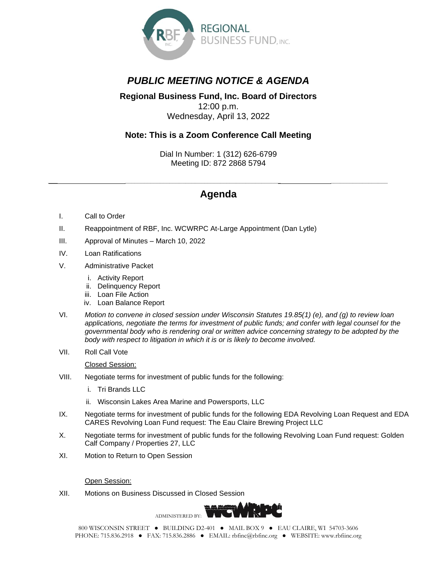

# *PUBLIC MEETING NOTICE & AGENDA*

#### **Regional Business Fund, Inc. Board of Directors** 12:00 p.m. Wednesday, April 13, 2022

### **Note: This is a Zoom Conference Call Meeting**

Dial In Number: 1 (312) 626-6799 Meeting ID: 872 2868 5794

## *\_\_\_ \_\_\_\_\_\_\_\_\_\_\_\_\_\_\_\_\_\_\_\_\_\_\_\_\_\_\_\_\_\_\_\_\_\_\_\_\_\_\_\_\_\_\_\_\_\_\_\_\_ \_\_\_\_\_\_\_\_\_\_\_\_\_\_\_\_\_\_* **Agenda**

- I. Call to Order
- II. Reappointment of RBF, Inc. WCWRPC At-Large Appointment (Dan Lytle)
- III. Approval of Minutes March 10, 2022
- IV. Loan Ratifications
- V. Administrative Packet
	- i. Activity Report
	- ii. Delinquency Report
	- iii. Loan File Action
	- iv. Loan Balance Report
- VI. *Motion to convene in closed session under Wisconsin Statutes 19.85(1) (e), and (g) to review loan applications, negotiate the terms for investment of public funds; and confer with legal counsel for the governmental body who is rendering oral or written advice concerning strategy to be adopted by the body with respect to litigation in which it is or is likely to become involved.*
- VII. Roll Call Vote

Closed Session:

- VIII. Negotiate terms for investment of public funds for the following:
	- i. Tri Brands LLC
	- ii. Wisconsin Lakes Area Marine and Powersports, LLC
- IX. Negotiate terms for investment of public funds for the following EDA Revolving Loan Request and EDA CARES Revolving Loan Fund request: The Eau Claire Brewing Project LLC
- X. Negotiate terms for investment of public funds for the following Revolving Loan Fund request: Golden Calf Company / Properties 27, LLC
- XI. Motion to Return to Open Session

Open Session:

XII. Motions on Business Discussed in Closed Session